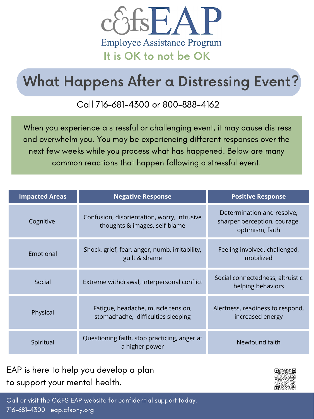

When you experience a stressful or challenging event, it may cause distress and overwhelm you. You may be experiencing different responses over the next few weeks while you process what has happened. Below are many common reactions that happen following a stressful event.

| <b>Impacted Areas</b> | <b>Negative Response</b>                                                     | <b>Positive Response</b>                                                      |
|-----------------------|------------------------------------------------------------------------------|-------------------------------------------------------------------------------|
| Cognitive             | Confusion, disorientation, worry, intrusive<br>thoughts & images, self-blame | Determination and resolve,<br>sharper perception, courage,<br>optimism, faith |
| Emotional             | Shock, grief, fear, anger, numb, irritability,<br>guilt & shame              | Feeling involved, challenged,<br>mobilized                                    |
| Social                | Extreme withdrawal, interpersonal conflict                                   | Social connectedness, altruistic<br>helping behaviors                         |
| Physical              | Fatigue, headache, muscle tension,<br>stomachache, difficulties sleeping     | Alertness, readiness to respond,<br>increased energy                          |
| Spiritual             | Questioning faith, stop practicing, anger at<br>a higher power               | Newfound faith                                                                |

# What Happens After a Distressing Event?

Call or visit the C&FS EAP website for confidential support today. 716-681-4300 eap.cfsbny.org

EAP is here to help you develop a plan to support your mental health.



#### Call 716-681-4300 or 800-888-4162